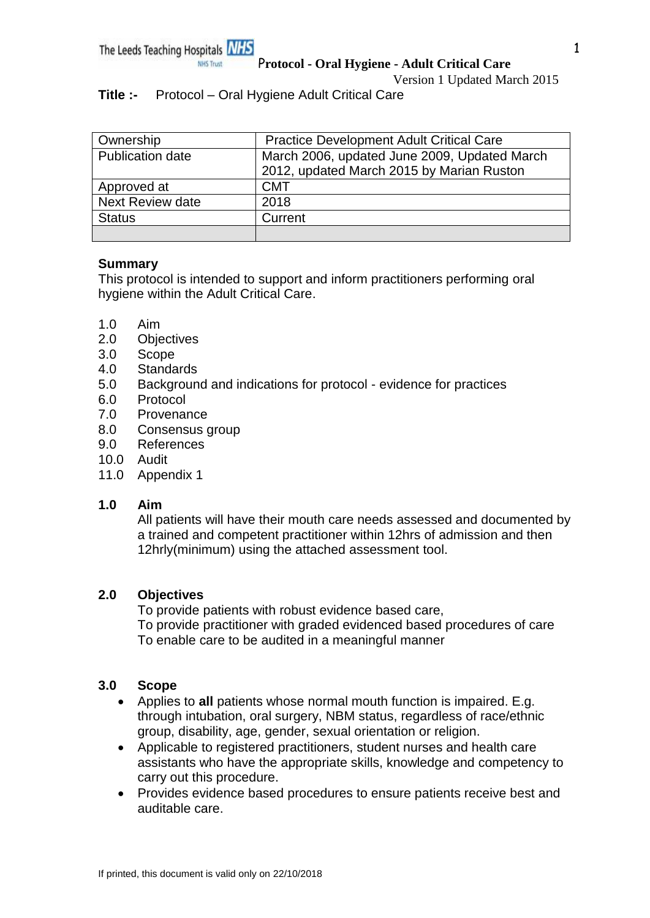Version 1 Updated March 2015

# **Title :-** Protocol – Oral Hygiene Adult Critical Care

| Ownership               | <b>Practice Development Adult Critical Care</b> |
|-------------------------|-------------------------------------------------|
| <b>Publication date</b> | March 2006, updated June 2009, Updated March    |
|                         | 2012, updated March 2015 by Marian Ruston       |
| Approved at             | <b>CMT</b>                                      |
| <b>Next Review date</b> | 2018                                            |
| <b>Status</b>           | Current                                         |
|                         |                                                 |

### **Summary**

This protocol is intended to support and inform practitioners performing oral hygiene within the Adult Critical Care.

- 1.0 Aim
- 2.0 Objectives
- 3.0 Scope
- 4.0 Standards
- 5.0 Background and indications for protocol evidence for practices
- 6.0 Protocol
- 7.0 Provenance
- 8.0 Consensus group
- 9.0 References
- 10.0 Audit
- 11.0 Appendix 1

# **1.0 Aim**

All patients will have their mouth care needs assessed and documented by a trained and competent practitioner within 12hrs of admission and then 12hrly(minimum) using the attached assessment tool.

# **2.0 Objectives**

To provide patients with robust evidence based care, To provide practitioner with graded evidenced based procedures of care To enable care to be audited in a meaningful manner

# **3.0 Scope**

- Applies to **all** patients whose normal mouth function is impaired. E.g. through intubation, oral surgery, NBM status, regardless of race/ethnic group, disability, age, gender, sexual orientation or religion.
- Applicable to registered practitioners, student nurses and health care assistants who have the appropriate skills, knowledge and competency to carry out this procedure.
- Provides evidence based procedures to ensure patients receive best and auditable care.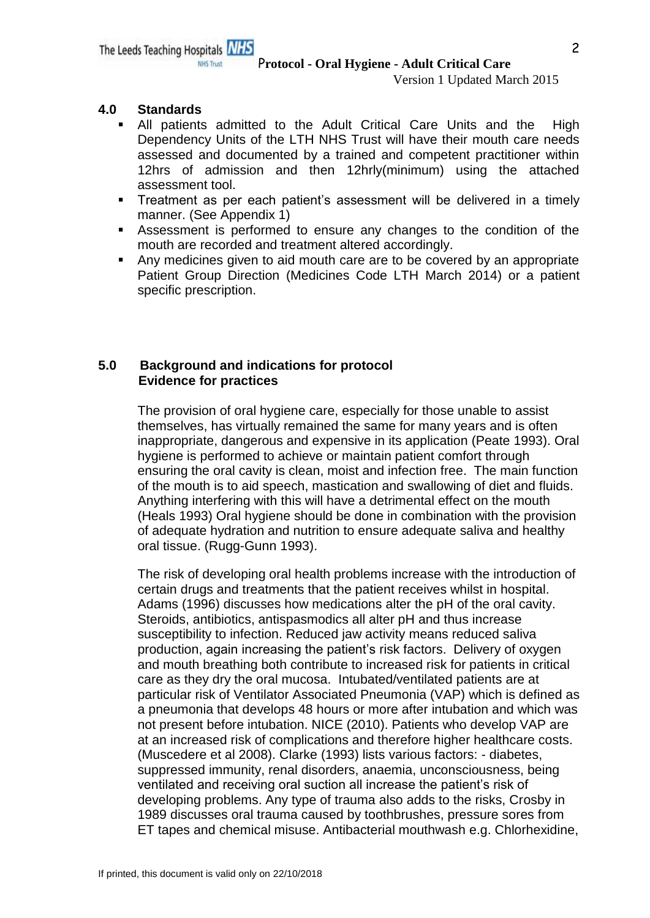Version 1 Updated March 2015

### **4.0 Standards**

- All patients admitted to the Adult Critical Care Units and the High Dependency Units of the LTH NHS Trust will have their mouth care needs assessed and documented by a trained and competent practitioner within 12hrs of admission and then 12hrly(minimum) using the attached assessment tool.
- **Treatment as per each patient's assessment will be delivered in a timely** manner. (See Appendix 1)
- Assessment is performed to ensure any changes to the condition of the mouth are recorded and treatment altered accordingly.
- Any medicines given to aid mouth care are to be covered by an appropriate Patient Group Direction (Medicines Code LTH March 2014) or a patient specific prescription.

### **5.0 Background and indications for protocol Evidence for practices**

The provision of oral hygiene care, especially for those unable to assist themselves, has virtually remained the same for many years and is often inappropriate, dangerous and expensive in its application (Peate 1993). Oral hygiene is performed to achieve or maintain patient comfort through ensuring the oral cavity is clean, moist and infection free. The main function of the mouth is to aid speech, mastication and swallowing of diet and fluids. Anything interfering with this will have a detrimental effect on the mouth (Heals 1993) Oral hygiene should be done in combination with the provision of adequate hydration and nutrition to ensure adequate saliva and healthy oral tissue. (Rugg-Gunn 1993).

The risk of developing oral health problems increase with the introduction of certain drugs and treatments that the patient receives whilst in hospital. Adams (1996) discusses how medications alter the pH of the oral cavity. Steroids, antibiotics, antispasmodics all alter pH and thus increase susceptibility to infection. Reduced jaw activity means reduced saliva production, again increasing the patient's risk factors. Delivery of oxygen and mouth breathing both contribute to increased risk for patients in critical care as they dry the oral mucosa. Intubated/ventilated patients are at particular risk of Ventilator Associated Pneumonia (VAP) which is defined as a pneumonia that develops 48 hours or more after intubation and which was not present before intubation. NICE (2010). Patients who develop VAP are at an increased risk of complications and therefore higher healthcare costs. (Muscedere et al 2008). Clarke (1993) lists various factors: - diabetes, suppressed immunity, renal disorders, anaemia, unconsciousness, being ventilated and receiving oral suction all increase the patient's risk of developing problems. Any type of trauma also adds to the risks, Crosby in 1989 discusses oral trauma caused by toothbrushes, pressure sores from ET tapes and chemical misuse. Antibacterial mouthwash e.g. Chlorhexidine,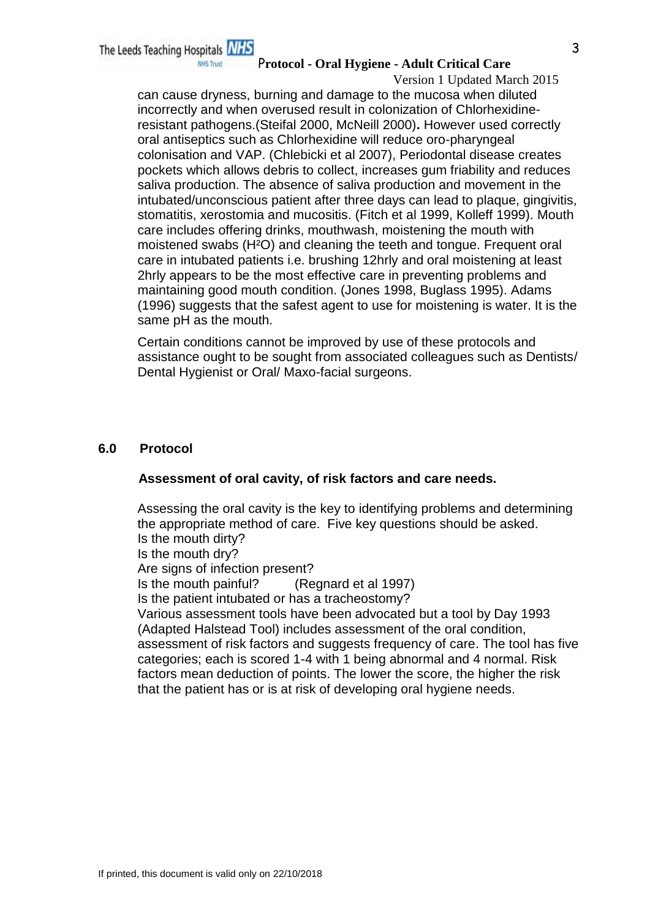#### P**rotocol - Oral Hygiene - Adult Critical Care**

Version 1 Updated March 2015 can cause dryness, burning and damage to the mucosa when diluted incorrectly and when overused result in colonization of Chlorhexidineresistant pathogens.(Steifal 2000, McNeill 2000)**.** However used correctly oral antiseptics such as Chlorhexidine will reduce oro-pharyngeal colonisation and VAP. (Chlebicki et al 2007), Periodontal disease creates pockets which allows debris to collect, increases gum friability and reduces saliva production. The absence of saliva production and movement in the intubated/unconscious patient after three days can lead to plaque, gingivitis, stomatitis, xerostomia and mucositis. (Fitch et al 1999, Kolleff 1999). Mouth care includes offering drinks, mouthwash, moistening the mouth with moistened swabs (H²O) and cleaning the teeth and tongue. Frequent oral care in intubated patients i.e. brushing 12hrly and oral moistening at least 2hrly appears to be the most effective care in preventing problems and maintaining good mouth condition. (Jones 1998, Buglass 1995). Adams (1996) suggests that the safest agent to use for moistening is water. It is the same pH as the mouth.

Certain conditions cannot be improved by use of these protocols and assistance ought to be sought from associated colleagues such as Dentists/ Dental Hygienist or Oral/ Maxo-facial surgeons.

### **6.0 Protocol**

#### **Assessment of oral cavity, of risk factors and care needs.**

Assessing the oral cavity is the key to identifying problems and determining the appropriate method of care. Five key questions should be asked. Is the mouth dirty? Is the mouth dry? Are signs of infection present? Is the mouth painful? (Regnard et al 1997) Is the patient intubated or has a tracheostomy? Various assessment tools have been advocated but a tool by Day 1993 (Adapted Halstead Tool) includes assessment of the oral condition, assessment of risk factors and suggests frequency of care. The tool has five categories; each is scored 1-4 with 1 being abnormal and 4 normal. Risk factors mean deduction of points. The lower the score, the higher the risk that the patient has or is at risk of developing oral hygiene needs.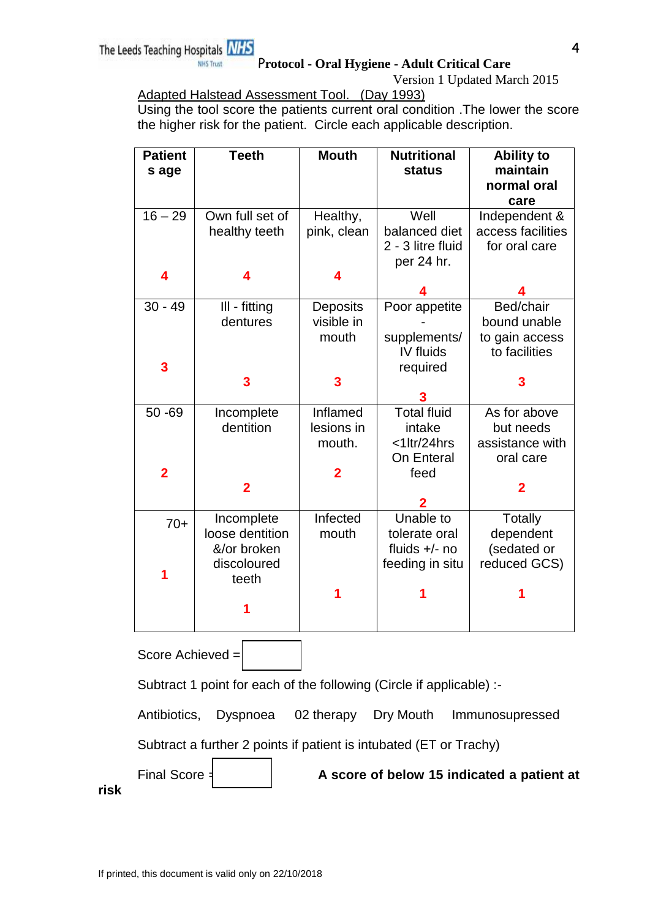# P**rotocol - Oral Hygiene - Adult Critical Care**

Version 1 Updated March 2015

Adapted Halstead Assessment Tool. (Day 1993)

Using the tool score the patients current oral condition .The lower the score the higher risk for the patient. Circle each applicable description.

| <b>Patient</b><br>s age                                              | <b>Teeth</b>            | <b>Mouth</b>    | <b>Nutritional</b><br><b>status</b> | <b>Ability to</b><br>maintain<br>normal oral<br>care |
|----------------------------------------------------------------------|-------------------------|-----------------|-------------------------------------|------------------------------------------------------|
| $16 - 29$                                                            | Own full set of         | Healthy,        | Well                                | Independent &                                        |
|                                                                      | healthy teeth           | pink, clean     | balanced diet                       | access facilities                                    |
|                                                                      |                         |                 | 2 - 3 litre fluid                   | for oral care                                        |
|                                                                      |                         |                 | per 24 hr.                          |                                                      |
| 4                                                                    | 4                       |                 |                                     |                                                      |
|                                                                      |                         |                 |                                     |                                                      |
| $30 - 49$                                                            | III - fitting           | <b>Deposits</b> | Poor appetite                       | Bed/chair                                            |
|                                                                      | dentures                | visible in      |                                     | bound unable                                         |
|                                                                      |                         | mouth           | supplements/                        | to gain access                                       |
|                                                                      |                         |                 | IV fluids                           | to facilities                                        |
| 3                                                                    |                         |                 | required                            |                                                      |
|                                                                      | 3                       | 3               |                                     | 3                                                    |
| $50 - 69$                                                            |                         | Inflamed        | <b>Total fluid</b>                  | As for above                                         |
|                                                                      | Incomplete<br>dentition | lesions in      | intake                              | but needs                                            |
|                                                                      |                         | mouth.          | <1ltr/24hrs                         | assistance with                                      |
|                                                                      |                         |                 | On Enteral                          | oral care                                            |
| $\overline{2}$                                                       |                         | 2               | feed                                |                                                      |
|                                                                      | $\overline{2}$          |                 |                                     | $\overline{2}$                                       |
|                                                                      |                         |                 | 2                                   |                                                      |
| $70+$                                                                | Incomplete              | Infected        | Unable to                           | <b>Totally</b>                                       |
|                                                                      | loose dentition         | mouth           | tolerate oral                       | dependent                                            |
|                                                                      | &/or broken             |                 | fluids $+/-$ no                     | (sedated or                                          |
|                                                                      | discoloured             |                 | feeding in situ                     | reduced GCS)                                         |
|                                                                      | teeth                   |                 |                                     |                                                      |
|                                                                      |                         |                 |                                     |                                                      |
|                                                                      |                         |                 |                                     |                                                      |
|                                                                      |                         |                 |                                     |                                                      |
| Score Achieved =                                                     |                         |                 |                                     |                                                      |
| Subtract 1 point for each of the following (Circle if applicable) :- |                         |                 |                                     |                                                      |
| Dyspnoea 02 therapy Dry Mouth<br>Antibiotics,<br>Immunosupressed     |                         |                 |                                     |                                                      |
| Subtract a further 2 points if patient is intubated (ET or Trachy)   |                         |                 |                                     |                                                      |

Final Score = **A score of below 15 indicated a patient at** 

**risk**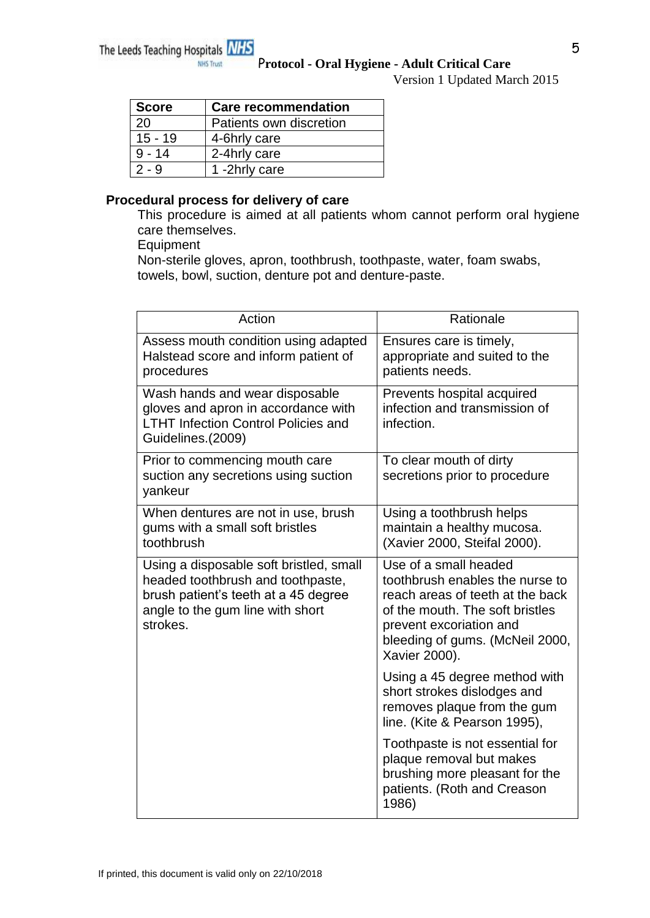Version 1 Updated March 2015

| <b>Score</b> | <b>Care recommendation</b> |
|--------------|----------------------------|
| 20           | Patients own discretion    |
| $15 - 19$    | 4-6hrly care               |
| $9 - 14$     | 2-4hrly care               |
| $2 - 9$      | 1-2hrly care               |

### **Procedural process for delivery of care**

This procedure is aimed at all patients whom cannot perform oral hygiene care themselves.

Equipment

Non-sterile gloves, apron, toothbrush, toothpaste, water, foam swabs, towels, bowl, suction, denture pot and denture-paste.

| Action                                                                                                                                                               | Rationale                                                                                                                                                                                                      |
|----------------------------------------------------------------------------------------------------------------------------------------------------------------------|----------------------------------------------------------------------------------------------------------------------------------------------------------------------------------------------------------------|
| Assess mouth condition using adapted<br>Halstead score and inform patient of<br>procedures                                                                           | Ensures care is timely,<br>appropriate and suited to the<br>patients needs.                                                                                                                                    |
| Wash hands and wear disposable<br>gloves and apron in accordance with<br><b>LTHT Infection Control Policies and</b><br>Guidelines.(2009)                             | Prevents hospital acquired<br>infection and transmission of<br>infection.                                                                                                                                      |
| Prior to commencing mouth care<br>suction any secretions using suction<br>yankeur                                                                                    | To clear mouth of dirty<br>secretions prior to procedure                                                                                                                                                       |
| When dentures are not in use, brush<br>gums with a small soft bristles<br>toothbrush                                                                                 | Using a toothbrush helps<br>maintain a healthy mucosa.<br>(Xavier 2000, Steifal 2000).                                                                                                                         |
| Using a disposable soft bristled, small<br>headed toothbrush and toothpaste,<br>brush patient's teeth at a 45 degree<br>angle to the gum line with short<br>strokes. | Use of a small headed<br>toothbrush enables the nurse to<br>reach areas of teeth at the back<br>of the mouth. The soft bristles<br>prevent excoriation and<br>bleeding of gums. (McNeil 2000,<br>Xavier 2000). |
|                                                                                                                                                                      | Using a 45 degree method with<br>short strokes dislodges and<br>removes plaque from the gum<br>line. (Kite & Pearson 1995),                                                                                    |
|                                                                                                                                                                      | Toothpaste is not essential for<br>plaque removal but makes<br>brushing more pleasant for the<br>patients. (Roth and Creason<br>1986)                                                                          |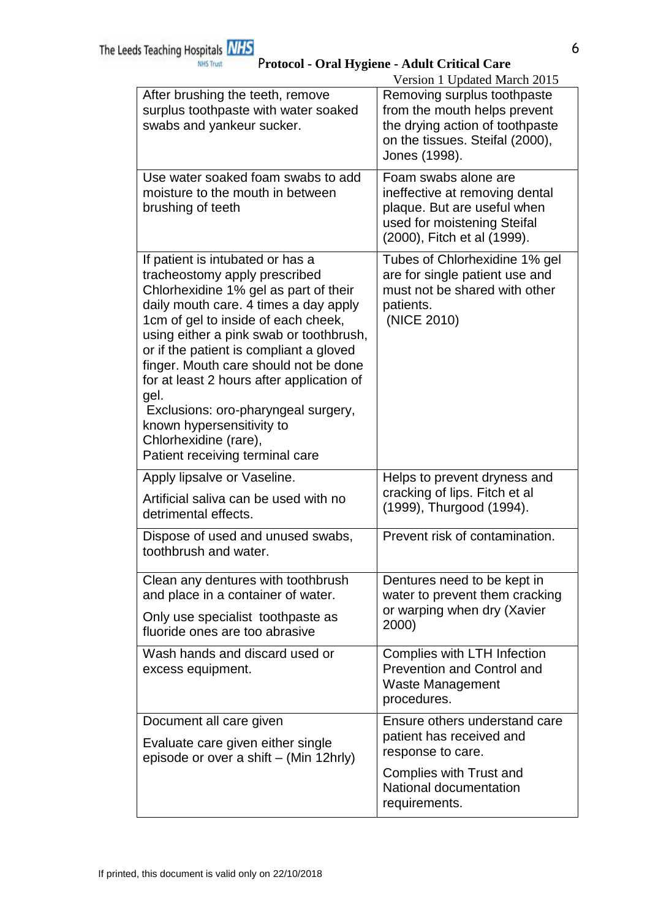|                                                                                                                                                                                                                                                                                                                                                                                                                                                                                                                | Version 1 Updated March 2015                                                                                                                         |
|----------------------------------------------------------------------------------------------------------------------------------------------------------------------------------------------------------------------------------------------------------------------------------------------------------------------------------------------------------------------------------------------------------------------------------------------------------------------------------------------------------------|------------------------------------------------------------------------------------------------------------------------------------------------------|
| After brushing the teeth, remove<br>surplus toothpaste with water soaked<br>swabs and yankeur sucker.                                                                                                                                                                                                                                                                                                                                                                                                          | Removing surplus toothpaste<br>from the mouth helps prevent<br>the drying action of toothpaste<br>on the tissues. Steifal (2000),<br>Jones (1998).   |
| Use water soaked foam swabs to add<br>moisture to the mouth in between<br>brushing of teeth                                                                                                                                                                                                                                                                                                                                                                                                                    | Foam swabs alone are<br>ineffective at removing dental<br>plaque. But are useful when<br>used for moistening Steifal<br>(2000), Fitch et al (1999).  |
| If patient is intubated or has a<br>tracheostomy apply prescribed<br>Chlorhexidine 1% gel as part of their<br>daily mouth care. 4 times a day apply<br>1cm of gel to inside of each cheek,<br>using either a pink swab or toothbrush,<br>or if the patient is compliant a gloved<br>finger. Mouth care should not be done<br>for at least 2 hours after application of<br>gel.<br>Exclusions: oro-pharyngeal surgery,<br>known hypersensitivity to<br>Chlorhexidine (rare),<br>Patient receiving terminal care | Tubes of Chlorhexidine 1% gel<br>are for single patient use and<br>must not be shared with other<br>patients.<br>(NICE 2010)                         |
| Apply lipsalve or Vaseline.<br>Artificial saliva can be used with no<br>detrimental effects.                                                                                                                                                                                                                                                                                                                                                                                                                   | Helps to prevent dryness and<br>cracking of lips. Fitch et al<br>(1999), Thurgood (1994).                                                            |
| Dispose of used and unused swabs,<br>toothbrush and water.                                                                                                                                                                                                                                                                                                                                                                                                                                                     | Prevent risk of contamination.                                                                                                                       |
| Clean any dentures with toothbrush<br>and place in a container of water.<br>Only use specialist toothpaste as<br>fluoride ones are too abrasive                                                                                                                                                                                                                                                                                                                                                                | Dentures need to be kept in<br>water to prevent them cracking<br>or warping when dry (Xavier<br>2000)                                                |
| Wash hands and discard used or<br>excess equipment.                                                                                                                                                                                                                                                                                                                                                                                                                                                            | Complies with LTH Infection<br><b>Prevention and Control and</b><br>Waste Management<br>procedures.                                                  |
| Document all care given<br>Evaluate care given either single<br>episode or over a shift – (Min 12hrly)                                                                                                                                                                                                                                                                                                                                                                                                         | Ensure others understand care<br>patient has received and<br>response to care.<br>Complies with Trust and<br>National documentation<br>requirements. |
|                                                                                                                                                                                                                                                                                                                                                                                                                                                                                                                |                                                                                                                                                      |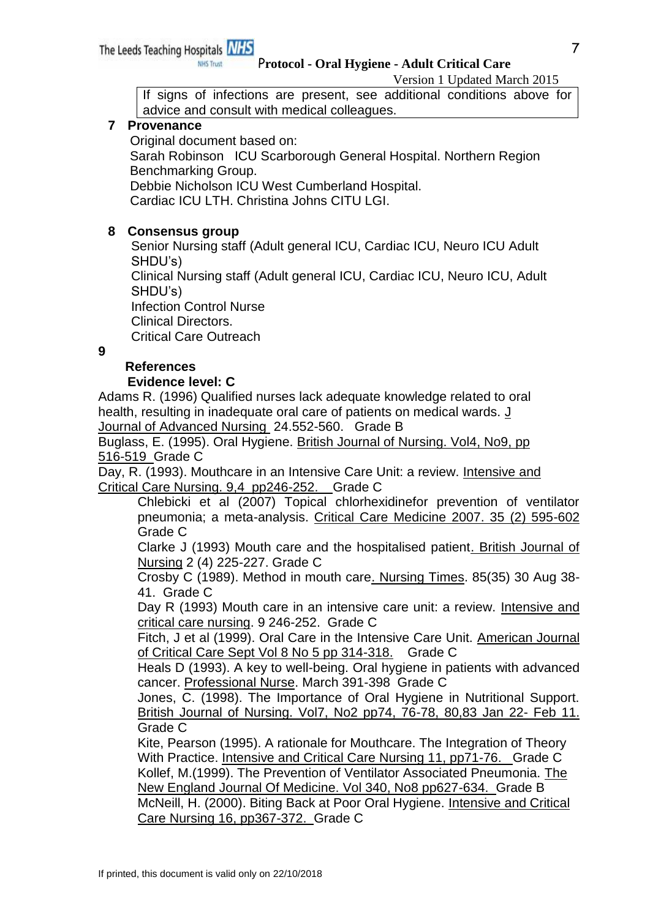#### Version 1 Updated March 2015

If signs of infections are present, see additional conditions above for advice and consult with medical colleagues.

### **7 Provenance**

Original document based on:

**NHS Trust** 

 Sarah Robinson ICU Scarborough General Hospital. Northern Region Benchmarking Group.

Debbie Nicholson ICU West Cumberland Hospital.

Cardiac ICU LTH. Christina Johns CITU LGI.

### **8 Consensus group**

 Senior Nursing staff (Adult general ICU, Cardiac ICU, Neuro ICU Adult SHDU's)

 Clinical Nursing staff (Adult general ICU, Cardiac ICU, Neuro ICU, Adult SHDU's)

 Infection Control Nurse Clinical Directors.

Critical Care Outreach

**9**

# **References**

### **Evidence level: C**

Adams R. (1996) Qualified nurses lack adequate knowledge related to oral health, resulting in inadequate oral care of patients on medical wards. J Journal of Advanced Nursing 24.552-560. Grade B

Buglass, E. (1995). Oral Hygiene. British Journal of Nursing. Vol4, No9, pp 516-519 Grade C

Day, R. (1993). Mouthcare in an Intensive Care Unit: a review. Intensive and Critical Care Nursing. 9,4 pp246-252. Grade C

Chlebicki et al (2007) Topical chlorhexidinefor prevention of ventilator pneumonia; a meta-analysis. Critical Care Medicine 2007. 35 (2) 595-602 Grade C

Clarke J (1993) Mouth care and the hospitalised patient. British Journal of Nursing 2 (4) 225-227. Grade C

Crosby C (1989). Method in mouth care. Nursing Times. 85(35) 30 Aug 38- 41. Grade C

Day R (1993) Mouth care in an intensive care unit: a review. Intensive and critical care nursing. 9 246-252. Grade C

Fitch, J et al (1999). Oral Care in the Intensive Care Unit. American Journal of Critical Care Sept Vol 8 No 5 pp 314-318. Grade C

Heals D (1993). A key to well-being. Oral hygiene in patients with advanced cancer. Professional Nurse. March 391-398 Grade C

Jones, C. (1998). The Importance of Oral Hygiene in Nutritional Support. British Journal of Nursing. Vol7, No2 pp74, 76-78, 80,83 Jan 22- Feb 11. Grade C

Kite, Pearson (1995). A rationale for Mouthcare. The Integration of Theory With Practice. Intensive and Critical Care Nursing 11, pp71-76. Grade C Kollef, M.(1999). The Prevention of Ventilator Associated Pneumonia. The New England Journal Of Medicine. Vol 340, No8 pp627-634. Grade B McNeill, H. (2000). Biting Back at Poor Oral Hygiene. Intensive and Critical Care Nursing 16, pp367-372. Grade C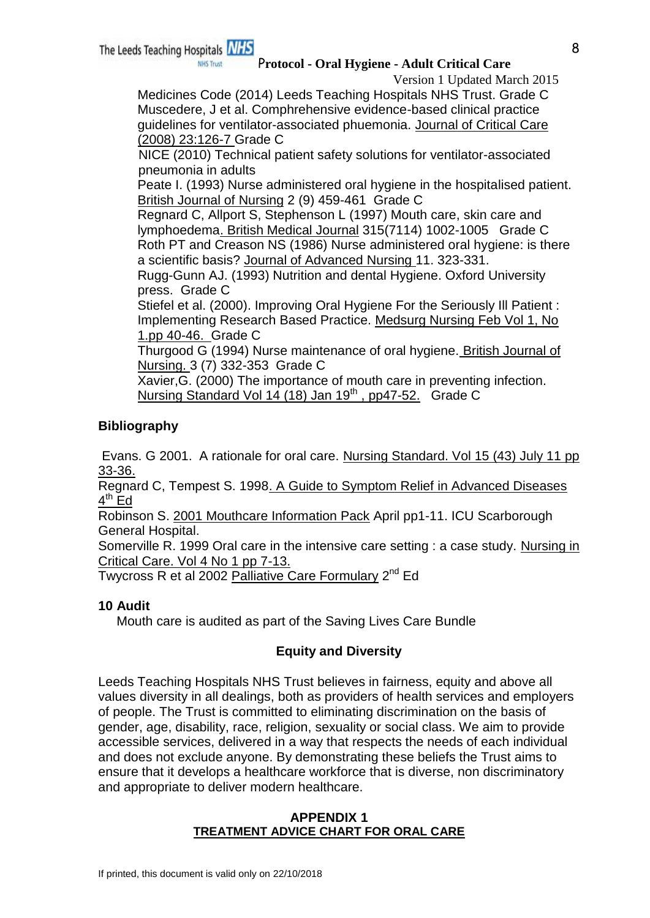### P**rotocol - Oral Hygiene - Adult Critical Care**

Version 1 Updated March 2015

Medicines Code (2014) Leeds Teaching Hospitals NHS Trust. Grade C Muscedere, J et al. Comphrehensive evidence-based clinical practice guidelines for ventilator-associated phuemonia. Journal of Critical Care (2008) 23:126-7 Grade C

 NICE (2010) Technical patient safety solutions for ventilator-associated pneumonia in adults

Peate I. (1993) Nurse administered oral hygiene in the hospitalised patient. British Journal of Nursing 2 (9) 459-461 Grade C

Regnard C, Allport S, Stephenson L (1997) Mouth care, skin care and lymphoedema. British Medical Journal 315(7114) 1002-1005 Grade C Roth PT and Creason NS (1986) Nurse administered oral hygiene: is there a scientific basis? Journal of Advanced Nursing 11. 323-331.

Rugg-Gunn AJ. (1993) Nutrition and dental Hygiene. Oxford University press. Grade C

Stiefel et al. (2000). Improving Oral Hygiene For the Seriously Ill Patient : Implementing Research Based Practice. Medsurg Nursing Feb Vol 1, No 1.pp 40-46. Grade C

Thurgood G (1994) Nurse maintenance of oral hygiene. British Journal of Nursing. 3 (7) 332-353 Grade C

Xavier,G. (2000) The importance of mouth care in preventing infection. Nursing Standard Vol 14 (18) Jan 19<sup>th</sup>, pp47-52. Grade C

# **Bibliography**

Evans. G 2001. A rationale for oral care. Nursing Standard. Vol 15 (43) July 11 pp 33-36.

Regnard C, Tempest S. 1998. A Guide to Symptom Relief in Advanced Diseases <u>4<sup>th</sup> Ed</u>

Robinson S. 2001 Mouthcare Information Pack April pp1-11. ICU Scarborough General Hospital.

Somerville R. 1999 Oral care in the intensive care setting : a case study. Nursing in Critical Care. Vol 4 No 1 pp 7-13.

Twycross R et al 2002 Palliative Care Formulary 2<sup>nd</sup> Ed

# **10 Audit**

Mouth care is audited as part of the Saving Lives Care Bundle

# **Equity and Diversity**

Leeds Teaching Hospitals NHS Trust believes in fairness, equity and above all values diversity in all dealings, both as providers of health services and employers of people. The Trust is committed to eliminating discrimination on the basis of gender, age, disability, race, religion, sexuality or social class. We aim to provide accessible services, delivered in a way that respects the needs of each individual and does not exclude anyone. By demonstrating these beliefs the Trust aims to ensure that it develops a healthcare workforce that is diverse, non discriminatory and appropriate to deliver modern healthcare.

### **APPENDIX 1 TREATMENT ADVICE CHART FOR ORAL CARE**